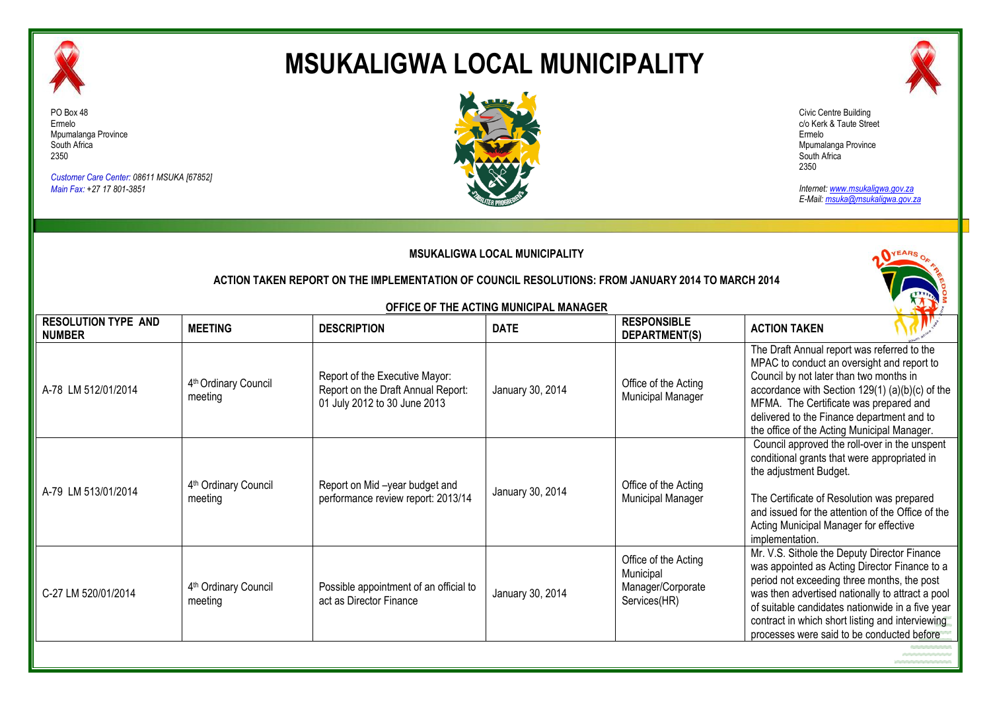

# **MSUKALIGWA LOCAL MUNICIPALITY**



*Customer Care Center: 08611 MSUKA [67852] Main Fax: +27 17 801-3851*





*Internet: www.msukaligwa.gov.za E-Mail: msuka@msukaligwa.gov.za*

| <b>MSUKALIGWA LOCAL MUNICIPALITY</b>                                                              |                                             |                                                                                                      |                                        |                                                                        |                                                                                                                                                                                                                                                                                                                                                        |  |  |
|---------------------------------------------------------------------------------------------------|---------------------------------------------|------------------------------------------------------------------------------------------------------|----------------------------------------|------------------------------------------------------------------------|--------------------------------------------------------------------------------------------------------------------------------------------------------------------------------------------------------------------------------------------------------------------------------------------------------------------------------------------------------|--|--|
| ACTION TAKEN REPORT ON THE IMPLEMENTATION OF COUNCIL RESOLUTIONS: FROM JANUARY 2014 TO MARCH 2014 |                                             |                                                                                                      |                                        |                                                                        |                                                                                                                                                                                                                                                                                                                                                        |  |  |
|                                                                                                   |                                             |                                                                                                      | OFFICE OF THE ACTING MUNICIPAL MANAGER |                                                                        |                                                                                                                                                                                                                                                                                                                                                        |  |  |
| <b>RESOLUTION TYPE AND</b><br><b>NUMBER</b>                                                       | <b>MEETING</b>                              | <b>DESCRIPTION</b>                                                                                   | <b>DATE</b>                            | <b>RESPONSIBLE</b><br>DEPARTMENT(S)                                    | <b>ACTION TAKEN</b>                                                                                                                                                                                                                                                                                                                                    |  |  |
| A-78 LM 512/01/2014                                                                               | 4th Ordinary Council<br>meeting             | Report of the Executive Mayor:<br>Report on the Draft Annual Report:<br>01 July 2012 to 30 June 2013 | January 30, 2014                       | Office of the Acting<br><b>Municipal Manager</b>                       | The Draft Annual report was referred to the<br>MPAC to conduct an oversight and report to<br>Council by not later than two months in<br>accordance with Section 129(1) (a)(b)(c) of the<br>MFMA. The Certificate was prepared and<br>delivered to the Finance department and to<br>the office of the Acting Municipal Manager.                         |  |  |
| A-79 LM 513/01/2014                                                                               | 4 <sup>th</sup> Ordinary Council<br>meeting | Report on Mid-year budget and<br>performance review report: 2013/14                                  | January 30, 2014                       | Office of the Acting<br><b>Municipal Manager</b>                       | Council approved the roll-over in the unspent<br>conditional grants that were appropriated in<br>the adjustment Budget.<br>The Certificate of Resolution was prepared<br>and issued for the attention of the Office of the<br>Acting Municipal Manager for effective<br>implementation.                                                                |  |  |
| C-27 LM 520/01/2014                                                                               | 4 <sup>th</sup> Ordinary Council<br>meeting | Possible appointment of an official to<br>act as Director Finance                                    | January 30, 2014                       | Office of the Acting<br>Municipal<br>Manager/Corporate<br>Services(HR) | Mr. V.S. Sithole the Deputy Director Finance<br>was appointed as Acting Director Finance to a<br>period not exceeding three months, the post<br>was then advertised nationally to attract a pool<br>of suitable candidates nationwide in a five year<br>contract in which short listing and interviewing<br>processes were said to be conducted before |  |  |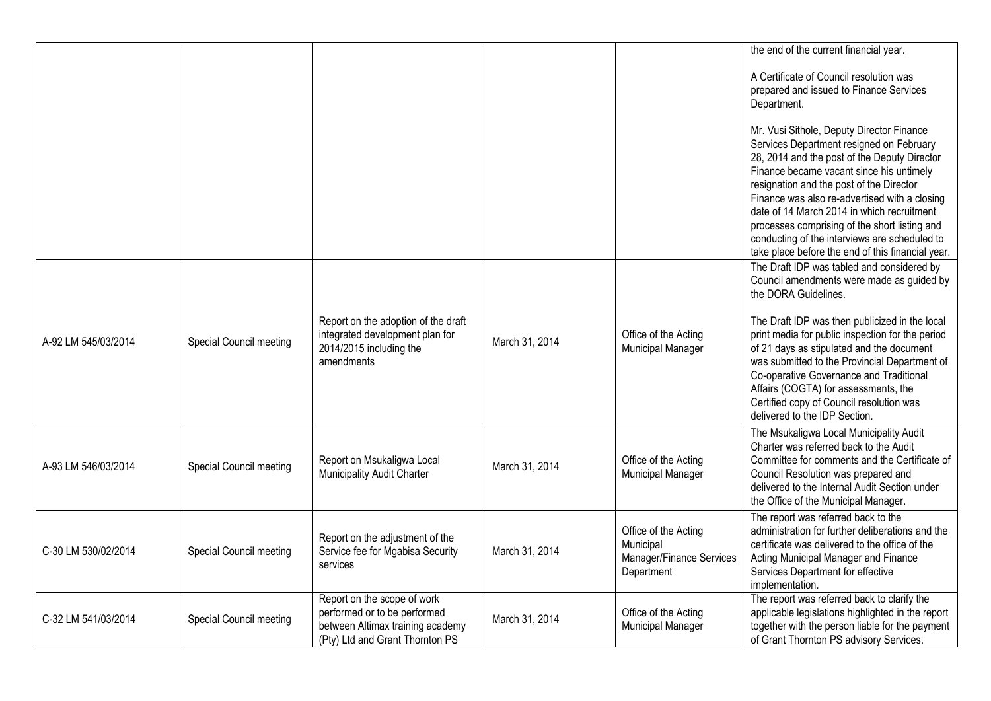|                     |                         |                                                                     |                |                                                  | the end of the current financial year.                                                                          |
|---------------------|-------------------------|---------------------------------------------------------------------|----------------|--------------------------------------------------|-----------------------------------------------------------------------------------------------------------------|
|                     |                         |                                                                     |                |                                                  | A Certificate of Council resolution was                                                                         |
|                     |                         |                                                                     |                |                                                  | prepared and issued to Finance Services<br>Department.                                                          |
|                     |                         |                                                                     |                |                                                  | Mr. Vusi Sithole, Deputy Director Finance<br>Services Department resigned on February                           |
|                     |                         |                                                                     |                |                                                  | 28, 2014 and the post of the Deputy Director                                                                    |
|                     |                         |                                                                     |                |                                                  | Finance became vacant since his untimely<br>resignation and the post of the Director                            |
|                     |                         |                                                                     |                |                                                  | Finance was also re-advertised with a closing<br>date of 14 March 2014 in which recruitment                     |
|                     |                         |                                                                     |                |                                                  | processes comprising of the short listing and<br>conducting of the interviews are scheduled to                  |
|                     |                         |                                                                     |                |                                                  | take place before the end of this financial year.                                                               |
|                     |                         |                                                                     |                |                                                  | The Draft IDP was tabled and considered by<br>Council amendments were made as guided by<br>the DORA Guidelines. |
|                     |                         | Report on the adoption of the draft                                 |                |                                                  | The Draft IDP was then publicized in the local                                                                  |
| A-92 LM 545/03/2014 | Special Council meeting | integrated development plan for<br>2014/2015 including the          | March 31, 2014 | Office of the Acting<br><b>Municipal Manager</b> | print media for public inspection for the period<br>of 21 days as stipulated and the document                   |
|                     |                         | amendments                                                          |                |                                                  | was submitted to the Provincial Department of<br>Co-operative Governance and Traditional                        |
|                     |                         |                                                                     |                |                                                  | Affairs (COGTA) for assessments, the<br>Certified copy of Council resolution was                                |
|                     |                         |                                                                     |                |                                                  | delivered to the IDP Section.                                                                                   |
|                     |                         |                                                                     |                |                                                  | The Msukaligwa Local Municipality Audit<br>Charter was referred back to the Audit                               |
| A-93 LM 546/03/2014 | Special Council meeting | Report on Msukaligwa Local<br>Municipality Audit Charter            | March 31, 2014 | Office of the Acting<br>Municipal Manager        | Committee for comments and the Certificate of<br>Council Resolution was prepared and                            |
|                     |                         |                                                                     |                |                                                  | delivered to the Internal Audit Section under<br>the Office of the Municipal Manager.                           |
|                     |                         |                                                                     |                |                                                  | The report was referred back to the                                                                             |
| C-30 LM 530/02/2014 | Special Council meeting | Report on the adjustment of the<br>Service fee for Mgabisa Security | March 31, 2014 | Office of the Acting<br>Municipal                | administration for further deliberations and the<br>certificate was delivered to the office of the              |
|                     |                         | services                                                            |                | Manager/Finance Services<br>Department           | Acting Municipal Manager and Finance<br>Services Department for effective                                       |
|                     |                         | Report on the scope of work                                         |                |                                                  | implementation.<br>The report was referred back to clarify the                                                  |
| C-32 LM 541/03/2014 | Special Council meeting | performed or to be performed                                        | March 31, 2014 | Office of the Acting                             | applicable legislations highlighted in the report                                                               |
|                     |                         | between Altimax training academy<br>(Pty) Ltd and Grant Thornton PS |                | Municipal Manager                                | together with the person liable for the payment<br>of Grant Thornton PS advisory Services.                      |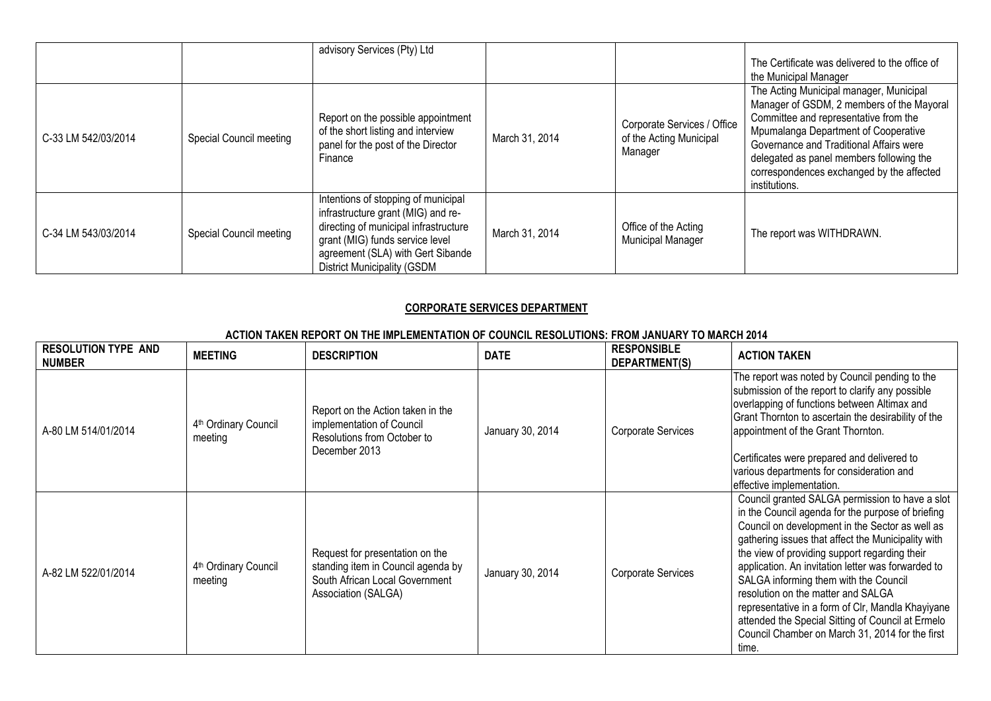|                     |                         | advisory Services (Pty) Ltd                                                                                                                                                                                                      |                |                                                                   | The Certificate was delivered to the office of<br>the Municipal Manager                                                                                                                                                                                                                                                    |
|---------------------|-------------------------|----------------------------------------------------------------------------------------------------------------------------------------------------------------------------------------------------------------------------------|----------------|-------------------------------------------------------------------|----------------------------------------------------------------------------------------------------------------------------------------------------------------------------------------------------------------------------------------------------------------------------------------------------------------------------|
| C-33 LM 542/03/2014 | Special Council meeting | Report on the possible appointment<br>of the short listing and interview<br>panel for the post of the Director<br>Finance                                                                                                        | March 31, 2014 | Corporate Services / Office<br>of the Acting Municipal<br>Manager | The Acting Municipal manager, Municipal<br>Manager of GSDM, 2 members of the Mayoral<br>Committee and representative from the<br>Mpumalanga Department of Cooperative<br>Governance and Traditional Affairs were<br>delegated as panel members following the<br>correspondences exchanged by the affected<br>institutions. |
| C-34 LM 543/03/2014 | Special Council meeting | Intentions of stopping of municipal<br>infrastructure grant (MIG) and re-<br>directing of municipal infrastructure<br>grant (MIG) funds service level<br>agreement (SLA) with Gert Sibande<br><b>District Municipality (GSDM</b> | March 31, 2014 | Office of the Acting<br><b>Municipal Manager</b>                  | The report was WITHDRAWN.                                                                                                                                                                                                                                                                                                  |

## **CORPORATE SERVICES DEPARTMENT**

#### **ACTION TAKEN REPORT ON THE IMPLEMENTATION OF COUNCIL RESOLUTIONS: FROM JANUARY TO MARCH 2014**

| <b>RESOLUTION TYPE AND</b><br><b>NUMBER</b> | <b>MEETING</b>                              | <b>DESCRIPTION</b>                                                                                                             | <b>DATE</b>      | <b>RESPONSIBLE</b><br>DEPARTMENT(S) | <b>ACTION TAKEN</b>                                                                                                                                                                                                                                                                                                                                                                                                                                                                                                                                                       |
|---------------------------------------------|---------------------------------------------|--------------------------------------------------------------------------------------------------------------------------------|------------------|-------------------------------------|---------------------------------------------------------------------------------------------------------------------------------------------------------------------------------------------------------------------------------------------------------------------------------------------------------------------------------------------------------------------------------------------------------------------------------------------------------------------------------------------------------------------------------------------------------------------------|
| A-80 LM 514/01/2014                         | 4 <sup>th</sup> Ordinary Council<br>meeting | Report on the Action taken in the<br>implementation of Council<br>Resolutions from October to<br>December 2013                 | January 30, 2014 | <b>Corporate Services</b>           | The report was noted by Council pending to the<br>submission of the report to clarify any possible<br>overlapping of functions between Altimax and<br>Grant Thornton to ascertain the desirability of the<br>appointment of the Grant Thornton.<br>Certificates were prepared and delivered to<br>various departments for consideration and<br>effective implementation.                                                                                                                                                                                                  |
| A-82 LM 522/01/2014                         | 4 <sup>th</sup> Ordinary Council<br>meeting | Request for presentation on the<br>standing item in Council agenda by<br>South African Local Government<br>Association (SALGA) | January 30, 2014 | <b>Corporate Services</b>           | Council granted SALGA permission to have a slot<br>in the Council agenda for the purpose of briefing<br>Council on development in the Sector as well as<br>gathering issues that affect the Municipality with<br>the view of providing support regarding their<br>application. An invitation letter was forwarded to<br>SALGA informing them with the Council<br>resolution on the matter and SALGA<br>representative in a form of Clr, Mandla Khayiyane<br>attended the Special Sitting of Council at Ermelo<br>Council Chamber on March 31, 2014 for the first<br>time. |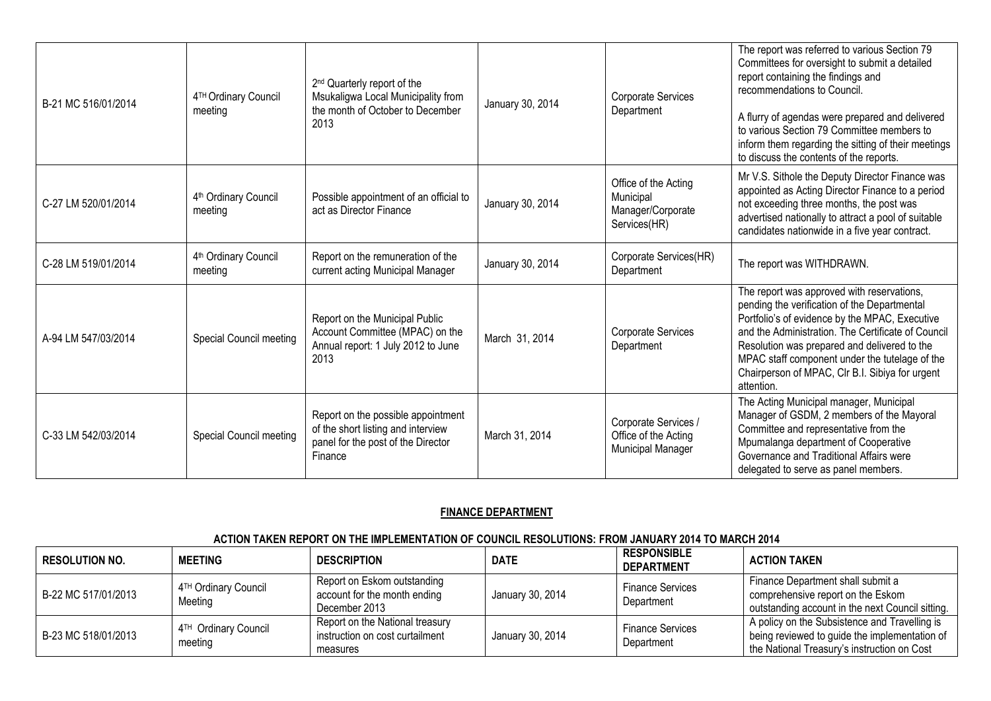| B-21 MC 516/01/2014 | 4TH Ordinary Council<br>meeting             | 2 <sup>nd</sup> Quarterly report of the<br>Msukaligwa Local Municipality from<br>the month of October to December<br>2013 | January 30, 2014 | Corporate Services<br>Department                                       | The report was referred to various Section 79<br>Committees for oversight to submit a detailed<br>report containing the findings and<br>recommendations to Council.<br>A flurry of agendas were prepared and delivered<br>to various Section 79 Committee members to<br>inform them regarding the sitting of their meetings<br>to discuss the contents of the reports. |
|---------------------|---------------------------------------------|---------------------------------------------------------------------------------------------------------------------------|------------------|------------------------------------------------------------------------|------------------------------------------------------------------------------------------------------------------------------------------------------------------------------------------------------------------------------------------------------------------------------------------------------------------------------------------------------------------------|
| C-27 LM 520/01/2014 | 4 <sup>th</sup> Ordinary Council<br>meeting | Possible appointment of an official to<br>act as Director Finance                                                         | January 30, 2014 | Office of the Acting<br>Municipal<br>Manager/Corporate<br>Services(HR) | Mr V.S. Sithole the Deputy Director Finance was<br>appointed as Acting Director Finance to a period<br>not exceeding three months, the post was<br>advertised nationally to attract a pool of suitable<br>candidates nationwide in a five year contract.                                                                                                               |
| C-28 LM 519/01/2014 | 4 <sup>th</sup> Ordinary Council<br>meeting | Report on the remuneration of the<br>current acting Municipal Manager                                                     | January 30, 2014 | Corporate Services(HR)<br>Department                                   | The report was WITHDRAWN.                                                                                                                                                                                                                                                                                                                                              |
| A-94 LM 547/03/2014 | Special Council meeting                     | Report on the Municipal Public<br>Account Committee (MPAC) on the<br>Annual report: 1 July 2012 to June<br>2013           | March 31, 2014   | <b>Corporate Services</b><br>Department                                | The report was approved with reservations,<br>pending the verification of the Departmental<br>Portfolio's of evidence by the MPAC, Executive<br>and the Administration. The Certificate of Council<br>Resolution was prepared and delivered to the<br>MPAC staff component under the tutelage of the<br>Chairperson of MPAC, Clr B.I. Sibiya for urgent<br>attention.  |
| C-33 LM 542/03/2014 | Special Council meeting                     | Report on the possible appointment<br>of the short listing and interview<br>panel for the post of the Director<br>Finance | March 31, 2014   | Corporate Services /<br>Office of the Acting<br>Municipal Manager      | The Acting Municipal manager, Municipal<br>Manager of GSDM, 2 members of the Mayoral<br>Committee and representative from the<br>Mpumalanga department of Cooperative<br>Governance and Traditional Affairs were<br>delegated to serve as panel members.                                                                                                               |

## **FINANCE DEPARTMENT**

#### **ACTION TAKEN REPORT ON THE IMPLEMENTATION OF COUNCIL RESOLUTIONS: FROM JANUARY 2014 TO MARCH 2014**

| <b>RESOLUTION NO.</b> | <b>MEETING</b>                              | <b>DESCRIPTION</b>                                                             | <b>DATE</b>      | <b>RESPONSIBLE</b><br><b>DEPARTMENT</b> | <b>ACTION TAKEN</b>                                                                                                                           |
|-----------------------|---------------------------------------------|--------------------------------------------------------------------------------|------------------|-----------------------------------------|-----------------------------------------------------------------------------------------------------------------------------------------------|
| B-22 MC 517/01/2013   | 4TH Ordinary Council<br>Meeting             | Report on Eskom outstanding<br>account for the month ending<br>December 2013   | January 30, 2014 | <b>Finance Services</b><br>Department   | Finance Department shall submit a<br>comprehensive report on the Eskom<br>outstanding account in the next Council sitting.                    |
| B-23 MC 518/01/2013   | 4 <sup>TH</sup> Ordinary Council<br>meeting | Report on the National treasury<br>instruction on cost curtailment<br>measures | January 30, 2014 | <b>Finance Services</b><br>Department   | A policy on the Subsistence and Travelling is<br>being reviewed to guide the implementation of<br>the National Treasury's instruction on Cost |